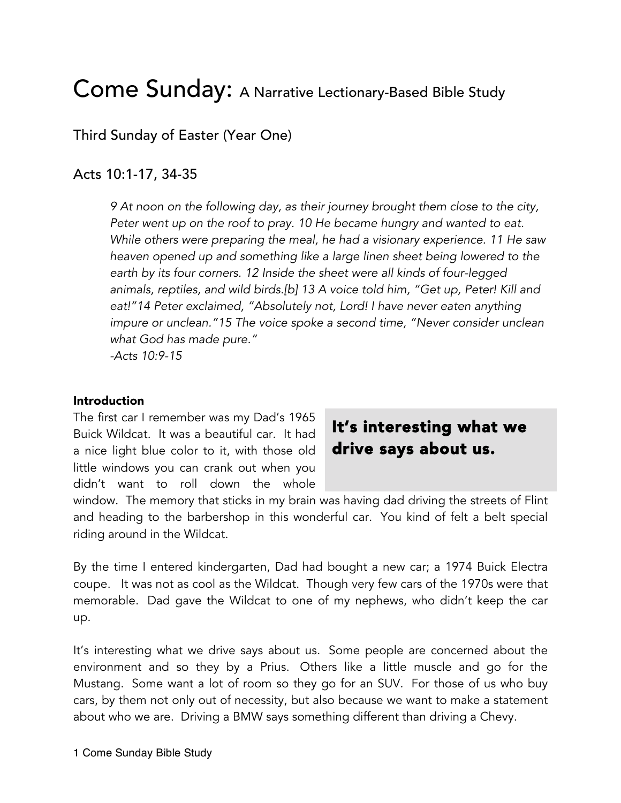# Come Sunday: A Narrative Lectionary-Based Bible Study

Third Sunday of Easter (Year One)

### Acts 10:1-17, 34-35

*9 At noon on the following day, as their journey brought them close to the city, Peter went up on the roof to pray. 10 He became hungry and wanted to eat. While others were preparing the meal, he had a visionary experience. 11 He saw heaven opened up and something like a large linen sheet being lowered to the earth by its four corners. 12 Inside the sheet were all kinds of four-legged animals, reptiles, and wild birds.[b] 13 A voice told him, "Get up, Peter! Kill and eat!"14 Peter exclaimed, "Absolutely not, Lord! I have never eaten anything impure or unclean."15 The voice spoke a second time, "Never consider unclean what God has made pure." -Acts 10:9-15*

#### Introduction

The first car I remember was my Dad's 1965 Buick Wildcat. It was a beautiful car. It had a nice light blue color to it, with those old little windows you can crank out when you didn't want to roll down the whole

## It's interesting what we drive says about us.

window. The memory that sticks in my brain was having dad driving the streets of Flint and heading to the barbershop in this wonderful car. You kind of felt a belt special riding around in the Wildcat.

By the time I entered kindergarten, Dad had bought a new car; a 1974 Buick Electra coupe. It was not as cool as the Wildcat. Though very few cars of the 1970s were that memorable. Dad gave the Wildcat to one of my nephews, who didn't keep the car up.

It's interesting what we drive says about us. Some people are concerned about the environment and so they by a Prius. Others like a little muscle and go for the Mustang. Some want a lot of room so they go for an SUV. For those of us who buy cars, by them not only out of necessity, but also because we want to make a statement about who we are. Driving a BMW says something different than driving a Chevy.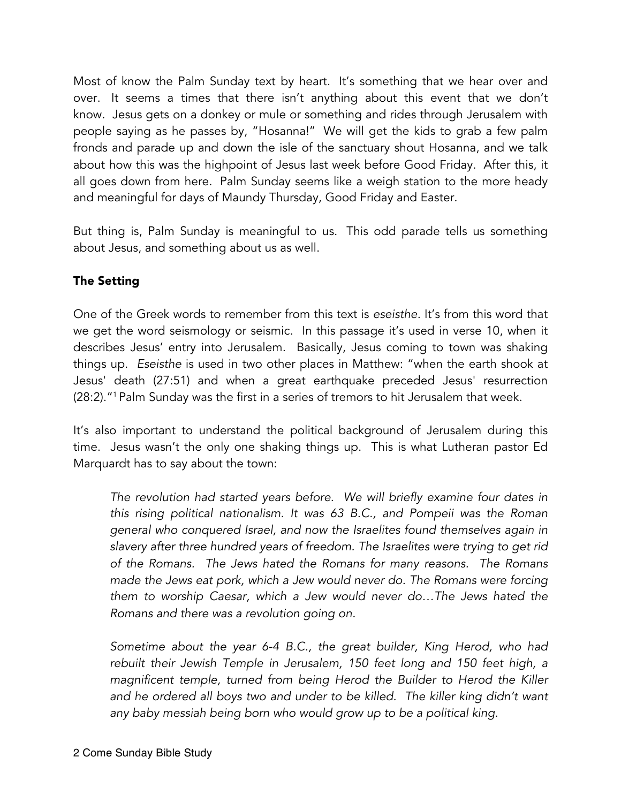Most of know the Palm Sunday text by heart. It's something that we hear over and over. It seems a times that there isn't anything about this event that we don't know. Jesus gets on a donkey or mule or something and rides through Jerusalem with people saying as he passes by, "Hosanna!" We will get the kids to grab a few palm fronds and parade up and down the isle of the sanctuary shout Hosanna, and we talk about how this was the highpoint of Jesus last week before Good Friday. After this, it all goes down from here. Palm Sunday seems like a weigh station to the more heady and meaningful for days of Maundy Thursday, Good Friday and Easter.

But thing is, Palm Sunday is meaningful to us. This odd parade tells us something about Jesus, and something about us as well.

#### The Setting

One of the Greek words to remember from this text is *eseisthe.* It's from this word that we get the word seismology or seismic. In this passage it's used in verse 10, when it describes Jesus' entry into Jerusalem. Basically, Jesus coming to town was shaking things up. *Eseisthe* is used in two other places in Matthew: "when the earth shook at Jesus' death (27:51) and when a great earthquake preceded Jesus' resurrection (28:2)."1 Palm Sunday was the first in a series of tremors to hit Jerusalem that week.

It's also important to understand the political background of Jerusalem during this time. Jesus wasn't the only one shaking things up. This is what Lutheran pastor Ed Marquardt has to say about the town:

*The revolution had started years before. We will briefly examine four dates in this rising political nationalism. It was 63 B.C., and Pompeii was the Roman general who conquered Israel, and now the Israelites found themselves again in slavery after three hundred years of freedom. The Israelites were trying to get rid of the Romans. The Jews hated the Romans for many reasons. The Romans made the Jews eat pork, which a Jew would never do. The Romans were forcing them to worship Caesar, which a Jew would never do…The Jews hated the Romans and there was a revolution going on.* 

*Sometime about the year 6-4 B.C., the great builder, King Herod, who had rebuilt their Jewish Temple in Jerusalem, 150 feet long and 150 feet high, a magnificent temple, turned from being Herod the Builder to Herod the Killer*  and he ordered all boys two and under to be killed. The killer king didn't want *any baby messiah being born who would grow up to be a political king.*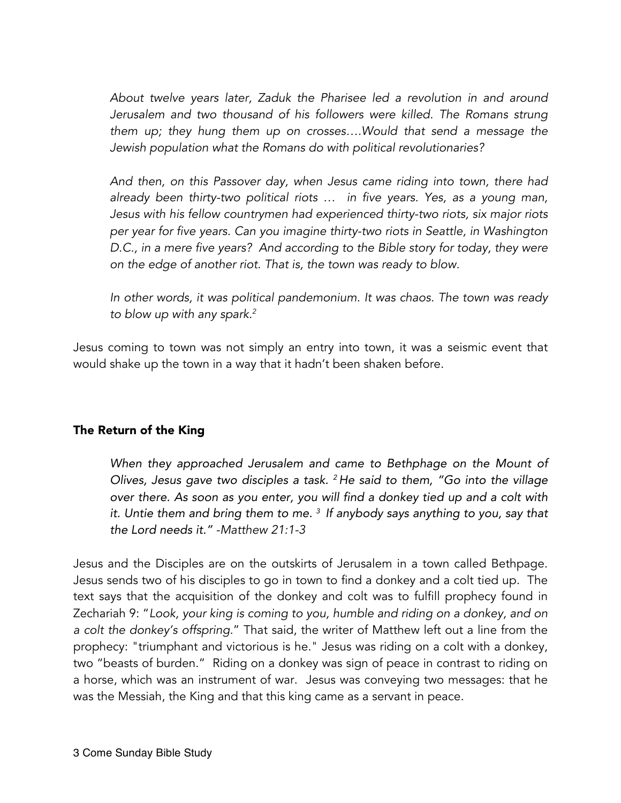*About twelve years later, Zaduk the Pharisee led a revolution in and around Jerusalem and two thousand of his followers were killed. The Romans strung them up; they hung them up on crosses….Would that send a message the Jewish population what the Romans do with political revolutionaries?* 

*And then, on this Passover day, when Jesus came riding into town, there had already been thirty-two political riots … in five years. Yes, as a young man, Jesus with his fellow countrymen had experienced thirty-two riots, six major riots per year for five years. Can you imagine thirty-two riots in Seattle, in Washington D.C., in a mere five years? And according to the Bible story for today, they were on the edge of another riot. That is, the town was ready to blow.* 

*In other words, it was political pandemonium. It was chaos. The town was ready to blow up with any spark.2*

Jesus coming to town was not simply an entry into town, it was a seismic event that would shake up the town in a way that it hadn't been shaken before.

#### The Return of the King

*When they approached Jerusalem and came to Bethphage on the Mount of Olives, Jesus gave two disciples a task. <sup>2</sup> He said to them, "Go into the village over there. As soon as you enter, you will find a donkey tied up and a colt with it. Untie them and bring them to me. <sup>3</sup> If anybody says anything to you, say that the Lord needs it." -Matthew 21:1-3*

Jesus and the Disciples are on the outskirts of Jerusalem in a town called Bethpage. Jesus sends two of his disciples to go in town to find a donkey and a colt tied up. The text says that the acquisition of the donkey and colt was to fulfill prophecy found in Zechariah 9: "*Look, your king is coming to you, humble and riding on a donkey, and on a colt the donkey's offspring.*" That said, the writer of Matthew left out a line from the prophecy: "triumphant and victorious is he." Jesus was riding on a colt with a donkey, two "beasts of burden." Riding on a donkey was sign of peace in contrast to riding on a horse, which was an instrument of war. Jesus was conveying two messages: that he was the Messiah, the King and that this king came as a servant in peace.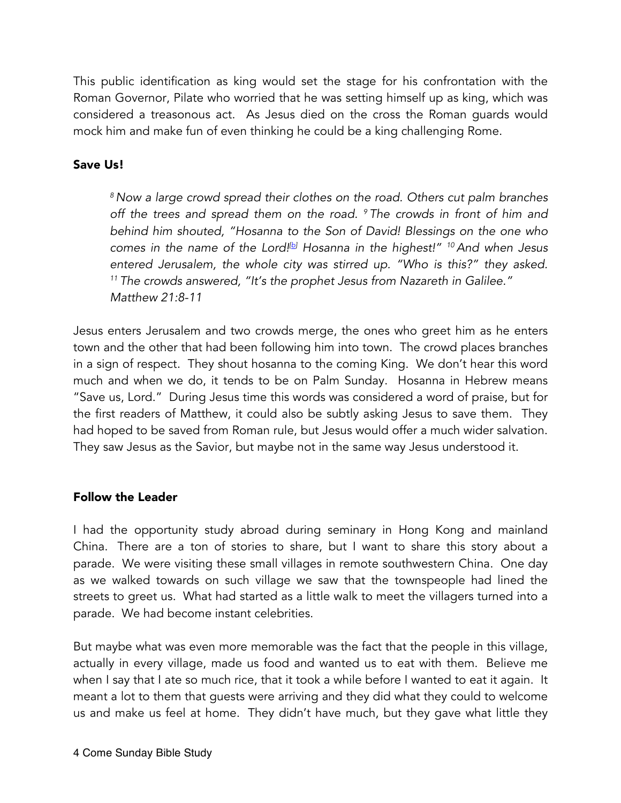This public identification as king would set the stage for his confrontation with the Roman Governor, Pilate who worried that he was setting himself up as king, which was considered a treasonous act. As Jesus died on the cross the Roman guards would mock him and make fun of even thinking he could be a king challenging Rome.

#### Save Us!

*<sup>8</sup> Now a large crowd spread their clothes on the road. Others cut palm branches off the trees and spread them on the road. 9 The crowds in front of him and behind him shouted, "Hosanna to the Son of David! Blessings on the one who comes in the name of the Lord![b] Hosanna in the highest!" 10And when Jesus entered Jerusalem, the whole city was stirred up. "Who is this?" they asked. <sup>11</sup> The crowds answered, "It's the prophet Jesus from Nazareth in Galilee." Matthew 21:8-11*

Jesus enters Jerusalem and two crowds merge, the ones who greet him as he enters town and the other that had been following him into town. The crowd places branches in a sign of respect. They shout hosanna to the coming King. We don't hear this word much and when we do, it tends to be on Palm Sunday. Hosanna in Hebrew means "Save us, Lord." During Jesus time this words was considered a word of praise, but for the first readers of Matthew, it could also be subtly asking Jesus to save them. They had hoped to be saved from Roman rule, but Jesus would offer a much wider salvation. They saw Jesus as the Savior, but maybe not in the same way Jesus understood it.

#### Follow the Leader

I had the opportunity study abroad during seminary in Hong Kong and mainland China. There are a ton of stories to share, but I want to share this story about a parade. We were visiting these small villages in remote southwestern China. One day as we walked towards on such village we saw that the townspeople had lined the streets to greet us. What had started as a little walk to meet the villagers turned into a parade. We had become instant celebrities.

But maybe what was even more memorable was the fact that the people in this village, actually in every village, made us food and wanted us to eat with them. Believe me when I say that I ate so much rice, that it took a while before I wanted to eat it again. It meant a lot to them that guests were arriving and they did what they could to welcome us and make us feel at home. They didn't have much, but they gave what little they